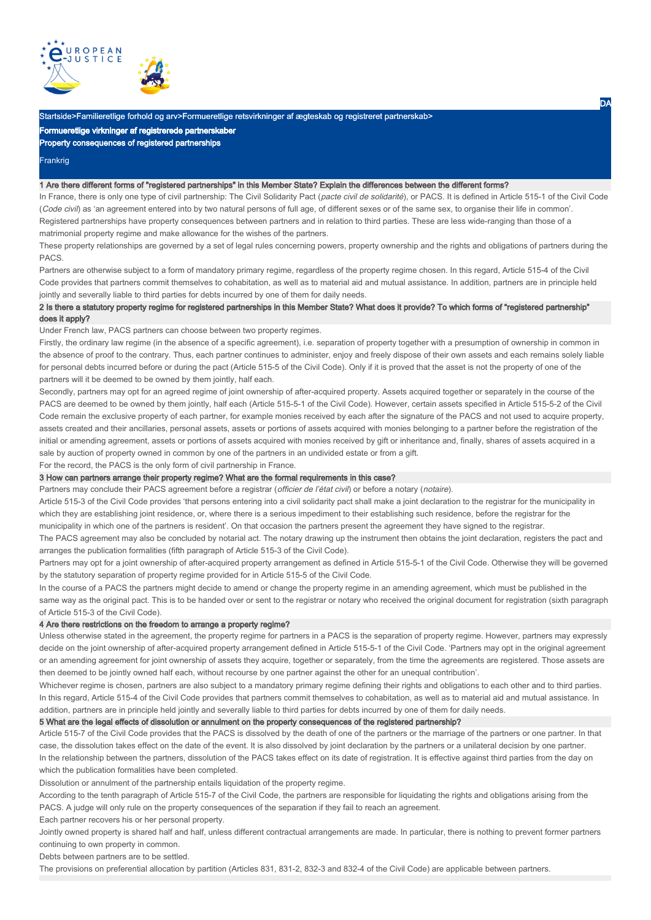

# Startside>Familieretlige forhold og arv>Formueretlige retsvirkninger af ægteskab og registreret partnerskab>

Formueretlige virkninger af registrerede partnerskaber

### Property consequences of registered partnerships

# **Frankrig**

### 1 Are there different forms of "registered partnerships" in this Member State? Explain the differences between the different forms?

In France, there is only one type of civil partnership: The Civil Solidarity Pact (pacte civil de solidarité), or PACS. It is defined in Article 515-1 of the Civil Code (Code civil) as 'an agreement entered into by two natural persons of full age, of different sexes or of the same sex, to organise their life in common'. Registered partnerships have property consequences between partners and in relation to third parties. These are less wide-ranging than those of a matrimonial property regime and make allowance for the wishes of the partners.

These property relationships are governed by a set of legal rules concerning powers, property ownership and the rights and obligations of partners during the PACS.

Partners are otherwise subject to a form of mandatory primary regime, regardless of the property regime chosen. In this regard, Article 515-4 of the Civil Code provides that partners commit themselves to cohabitation, as well as to material aid and mutual assistance. In addition, partners are in principle held jointly and severally liable to third parties for debts incurred by one of them for daily needs.

## 2 Is there a statutory property regime for registered partnerships in this Member State? What does it provide? To which forms of "registered partnership" does it apply?

Under French law, PACS partners can choose between two property regimes.

Firstly, the ordinary law regime (in the absence of a specific agreement), i.e. separation of property together with a presumption of ownership in common in the absence of proof to the contrary. Thus, each partner continues to administer, enjoy and freely dispose of their own assets and each remains solely liable for personal debts incurred before or during the pact (Article 515-5 of the Civil Code). Only if it is proved that the asset is not the property of one of the partners will it be deemed to be owned by them jointly, half each.

Secondly, partners may opt for an agreed regime of joint ownership of after-acquired property. Assets acquired together or separately in the course of the PACS are deemed to be owned by them jointly, half each (Article 515-5-1 of the Civil Code). However, certain assets specified in Article 515-5-2 of the Civil Code remain the exclusive property of each partner, for example monies received by each after the signature of the PACS and not used to acquire property, assets created and their ancillaries, personal assets, assets or portions of assets acquired with monies belonging to a partner before the registration of the initial or amending agreement, assets or portions of assets acquired with monies received by gift or inheritance and, finally, shares of assets acquired in a sale by auction of property owned in common by one of the partners in an undivided estate or from a gift.

For the record, the PACS is the only form of civil partnership in France.

#### 3 How can partners arrange their property regime? What are the formal requirements in this case?

Partners may conclude their PACS agreement before a registrar (officier de l'état civil) or before a notary (notaire).

Article 515-3 of the Civil Code provides 'that persons entering into a civil solidarity pact shall make a joint declaration to the registrar for the municipality in which they are establishing joint residence, or, where there is a serious impediment to their establishing such residence, before the registrar for the

municipality in which one of the partners is resident'. On that occasion the partners present the agreement they have signed to the registrar.

The PACS agreement may also be concluded by notarial act. The notary drawing up the instrument then obtains the joint declaration, registers the pact and arranges the publication formalities (fifth paragraph of Article 515-3 of the Civil Code).

Partners may opt for a joint ownership of after-acquired property arrangement as defined in Article 515-5-1 of the Civil Code. Otherwise they will be governed by the statutory separation of property regime provided for in Article 515-5 of the Civil Code.

In the course of a PACS the partners might decide to amend or change the property regime in an amending agreement, which must be published in the same way as the original pact. This is to be handed over or sent to the registrar or notary who received the original document for registration (sixth paragraph of Article 515-3 of the Civil Code).

# 4 Are there restrictions on the freedom to arrange a property regime?

Unless otherwise stated in the agreement, the property regime for partners in a PACS is the separation of property regime. However, partners may expressly decide on the joint ownership of after-acquired property arrangement defined in Article 515-5-1 of the Civil Code. 'Partners may opt in the original agreement or an amending agreement for joint ownership of assets they acquire, together or separately, from the time the agreements are registered. Those assets are then deemed to be jointly owned half each, without recourse by one partner against the other for an unequal contribution'.

Whichever regime is chosen, partners are also subject to a mandatory primary regime defining their rights and obligations to each other and to third parties. In this regard, Article 515-4 of the Civil Code provides that partners commit themselves to cohabitation, as well as to material aid and mutual assistance. In addition, partners are in principle held jointly and severally liable to third parties for debts incurred by one of them for daily needs.

#### 5 What are the legal effects of dissolution or annulment on the property consequences of the registered partnership?

Article 515-7 of the Civil Code provides that the PACS is dissolved by the death of one of the partners or the marriage of the partners or one partner. In that case, the dissolution takes effect on the date of the event. It is also dissolved by joint declaration by the partners or a unilateral decision by one partner. In the relationship between the partners, dissolution of the PACS takes effect on its date of registration. It is effective against third parties from the day on which the publication formalities have been completed.

Dissolution or annulment of the partnership entails liquidation of the property regime.

According to the tenth paragraph of Article 515-7 of the Civil Code, the partners are responsible for liquidating the rights and obligations arising from the PACS. A judge will only rule on the property consequences of the separation if they fail to reach an agreement.

Each partner recovers his or her personal property.

Jointly owned property is shared half and half, unless different contractual arrangements are made. In particular, there is nothing to prevent former partners continuing to own property in common.

Debts between partners are to be settled.

The provisions on preferential allocation by partition (Articles 831, 831-2, 832-3 and 832-4 of the Civil Code) are applicable between partners.